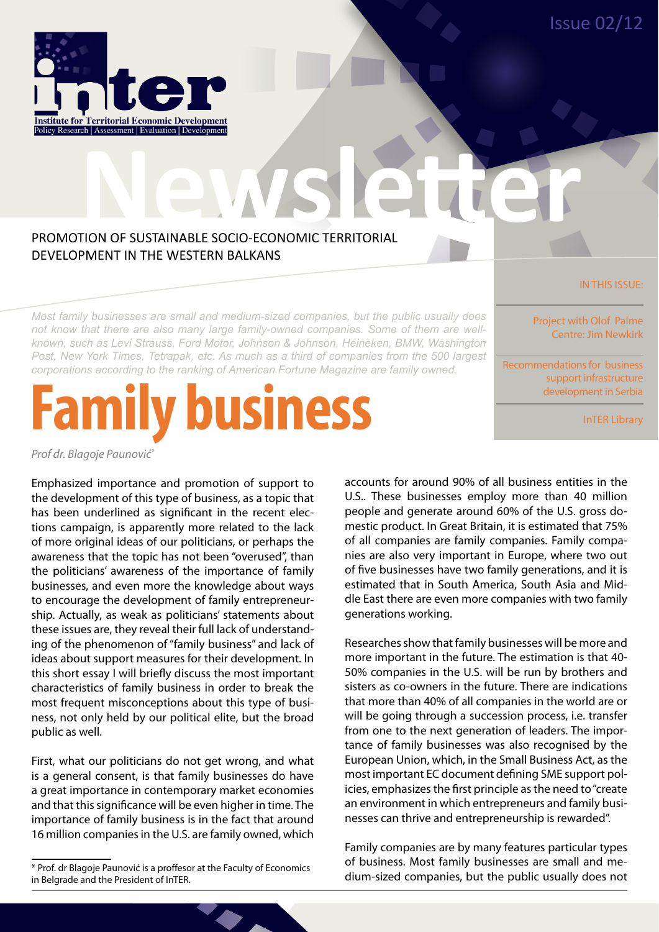Issue 02/12



# **NEWSLETCHER READERS AND READERS AND READERS AND READERS AND READERS AND READERS AND READERS AND READERS AND READERS AND READERS AND READERS AND READERS AND READERS AND READERS AND READERS AND READERS AND READERS AND READE** PROMOTION OF SUSTAINABLE SOCIO-ECONOMIC TERRITORIAL DEVELOPMENT IN THE WESTERN BALKANS

*Most family businesses are small and medium-sized companies, but the public usually does not know that there are also many large family-owned companies. Some of them are wellknown, such as Levi Strauss, Ford Motor, Johnson & Johnson, Heineken, BMW, Washington Post, New York Times, Tetrapak, etc. As much as a third of companies from the 500 largest corporations according to the ranking of American Fortune Magazine are family owned.*

# **business**

Project with Olof Palme Centre: Jim Newkirk

Recommendations for business support infrastructure development in Serbia

InTER Library

IN THIS ISSUE:

*Prof dr. Blagoje Paunović\**

Emphasized importance and promotion of support to the development of this type of business, as a topic that has been underlined as significant in the recent elections campaign, is apparently more related to the lack of more original ideas of our politicians, or perhaps the awareness that the topic has not been "overused", than the politicians' awareness of the importance of family businesses, and even more the knowledge about ways to encourage the development of family entrepreneurship. Actually, as weak as politicians' statements about these issues are, they reveal their full lack of understanding of the phenomenon of "family business" and lack of ideas about support measures for their development. In this short essay I will briefly discuss the most important characteristics of family business in order to break the most frequent misconceptions about this type of business, not only held by our political elite, but the broad public as well.

First, what our politicians do not get wrong, and what is a general consent, is that family businesses do have a great importance in contemporary market economies and that this significance will be even higher in time. The importance of family business is in the fact that around 16 million companies in the U.S. are family owned, which accounts for around 90% of all business entities in the U.S.. These businesses employ more than 40 million people and generate around 60% of the U.S. gross domestic product. In Great Britain, it is estimated that 75% of all companies are family companies. Family companies are also very important in Europe, where two out of five businesses have two family generations, and it is estimated that in South America, South Asia and Middle East there are even more companies with two family generations working.

Researches show that family businesses will be more and more important in the future. The estimation is that 40- 50% companies in the U.S. will be run by brothers and sisters as co-owners in the future. There are indications that more than 40% of all companies in the world are or will be going through a succession process, i.e. transfer from one to the next generation of leaders. The importance of family businesses was also recognised by the European Union, which, in the Small Business Act, as the most important EC document defining SME support policies, emphasizes the first principle as the need to "create an environment in which entrepreneurs and family businesses can thrive and entrepreneurship is rewarded".

Family companies are by many features particular types of business. Most family businesses are small and medium-sized companies, but the public usually does not

<sup>\*</sup> Prof. dr Blagoje Paunović is a proffesor at the Faculty of Economics in Belgrade and the President of InTER.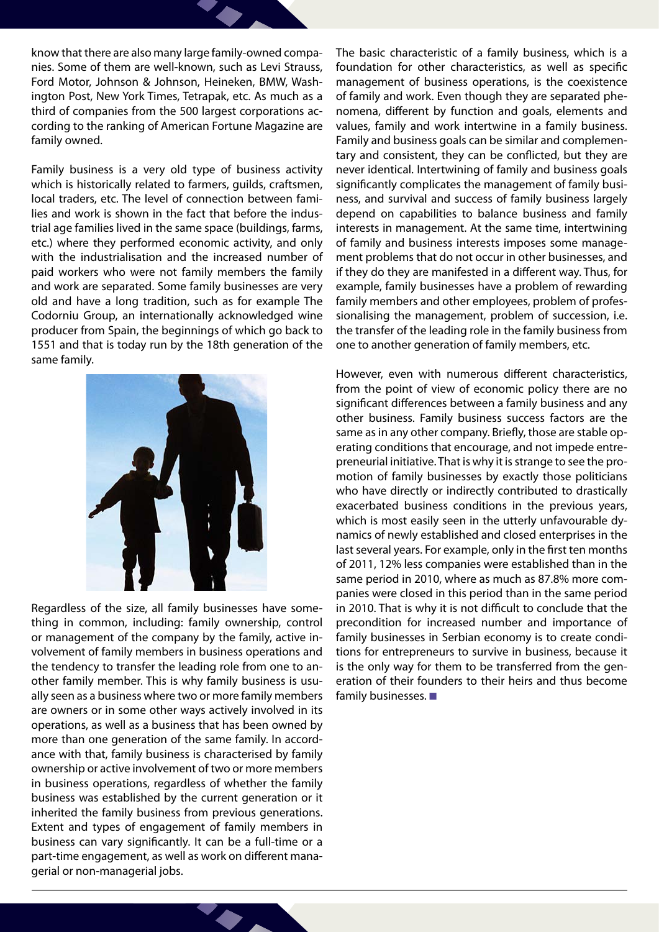know that there are also many large family-owned companies. Some of them are well-known, such as Levi Strauss, Ford Motor, Johnson & Johnson, Heineken, BMW, Washington Post, New York Times, Tetrapak, etc. As much as a third of companies from the 500 largest corporations according to the ranking of American Fortune Magazine are family owned.

Family business is a very old type of business activity which is historically related to farmers, guilds, craftsmen, local traders, etc. The level of connection between families and work is shown in the fact that before the industrial age families lived in the same space (buildings, farms, etc.) where they performed economic activity, and only with the industrialisation and the increased number of paid workers who were not family members the family and work are separated. Some family businesses are very old and have a long tradition, such as for example The Codorniu Group, an internationally acknowledged wine producer from Spain, the beginnings of which go back to 1551 and that is today run by the 18th generation of the same family.



Regardless of the size, all family businesses have something in common, including: family ownership, control or management of the company by the family, active involvement of family members in business operations and the tendency to transfer the leading role from one to another family member. This is why family business is usually seen as a business where two or more family members are owners or in some other ways actively involved in its operations, as well as a business that has been owned by more than one generation of the same family. In accordance with that, family business is characterised by family ownership or active involvement of two or more members in business operations, regardless of whether the family business was established by the current generation or it inherited the family business from previous generations. Extent and types of engagement of family members in business can vary significantly. It can be a full-time or a part-time engagement, as well as work on different managerial or non-managerial jobs.

The basic characteristic of a family business, which is a foundation for other characteristics, as well as specific management of business operations, is the coexistence of family and work. Even though they are separated phenomena, different by function and goals, elements and values, family and work intertwine in a family business. Family and business goals can be similar and complementary and consistent, they can be conflicted, but they are never identical. Intertwining of family and business goals significantly complicates the management of family business, and survival and success of family business largely depend on capabilities to balance business and family interests in management. At the same time, intertwining of family and business interests imposes some management problems that do not occur in other businesses, and if they do they are manifested in a different way. Thus, for example, family businesses have a problem of rewarding family members and other employees, problem of professionalising the management, problem of succession, i.e. the transfer of the leading role in the family business from one to another generation of family members, etc.

However, even with numerous different characteristics, from the point of view of economic policy there are no significant differences between a family business and any other business. Family business success factors are the same as in any other company. Briefly, those are stable operating conditions that encourage, and not impede entrepreneurial initiative. That is why it is strange to see the promotion of family businesses by exactly those politicians who have directly or indirectly contributed to drastically exacerbated business conditions in the previous years, which is most easily seen in the utterly unfavourable dynamics of newly established and closed enterprises in the last several years. For example, only in the first ten months of 2011, 12% less companies were established than in the same period in 2010, where as much as 87.8% more companies were closed in this period than in the same period in 2010. That is why it is not difficult to conclude that the precondition for increased number and importance of family businesses in Serbian economy is to create conditions for entrepreneurs to survive in business, because it is the only way for them to be transferred from the generation of their founders to their heirs and thus become family businesses.  $\blacksquare$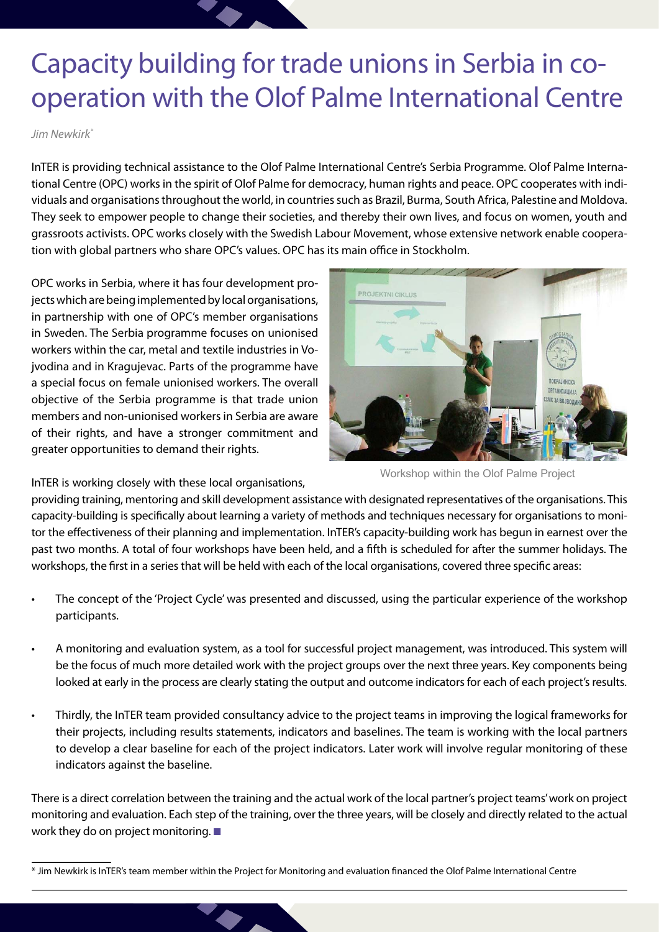## Capacity building for trade unions in Serbia in cooperation with the Olof Palme International Centre

#### *Jim Newkirk\**

InTER is providing technical assistance to the Olof Palme International Centre's Serbia Programme. Olof Palme International Centre (OPC) works in the spirit of Olof Palme for democracy, human rights and peace. OPC cooperates with individuals and organisations throughout the world, in countries such as Brazil, Burma, South Africa, Palestine and Moldova. They seek to empower people to change their societies, and thereby their own lives, and focus on women, youth and grassroots activists. OPC works closely with the Swedish Labour Movement, whose extensive network enable cooperation with global partners who share OPC's values. OPC has its main office in Stockholm.

OPC works in Serbia, where it has four development projects which are being implemented by local organisations, in partnership with one of OPC's member organisations in Sweden. The Serbia programme focuses on unionised workers within the car, metal and textile industries in Vojvodina and in Kragujevac. Parts of the programme have a special focus on female unionised workers. The overall objective of the Serbia programme is that trade union members and non-unionised workers in Serbia are aware of their rights, and have a stronger commitment and greater opportunities to demand their rights.

PROJEKTNI CIKLUS

Workshop within the Olof Palme Project

InTER is working closely with these local organisations,

providing training, mentoring and skill development assistance with designated representatives of the organisations. This capacity-building is specifically about learning a variety of methods and techniques necessary for organisations to monitor the effectiveness of their planning and implementation. InTER's capacity-building work has begun in earnest over the past two months. A total of four workshops have been held, and a fifth is scheduled for after the summer holidays. The workshops, the first in a series that will be held with each of the local organisations, covered three specific areas:

- The concept of the 'Project Cycle' was presented and discussed, using the particular experience of the workshop participants.
- A monitoring and evaluation system, as a tool for successful project management, was introduced. This system will be the focus of much more detailed work with the project groups over the next three years. Key components being looked at early in the process are clearly stating the output and outcome indicators for each of each project's results.
- Thirdly, the InTER team provided consultancy advice to the project teams in improving the logical frameworks for their projects, including results statements, indicators and baselines. The team is working with the local partners to develop a clear baseline for each of the project indicators. Later work will involve regular monitoring of these indicators against the baseline.

There is a direct correlation between the training and the actual work of the local partner's project teams' work on project monitoring and evaluation. Each step of the training, over the three years, will be closely and directly related to the actual work they do on project monitoring.  $\square$ 

<sup>\*</sup> Jim Newkirk is InTER's team member within the Project for Monitoring and evaluation financed the Olof Palme International Centre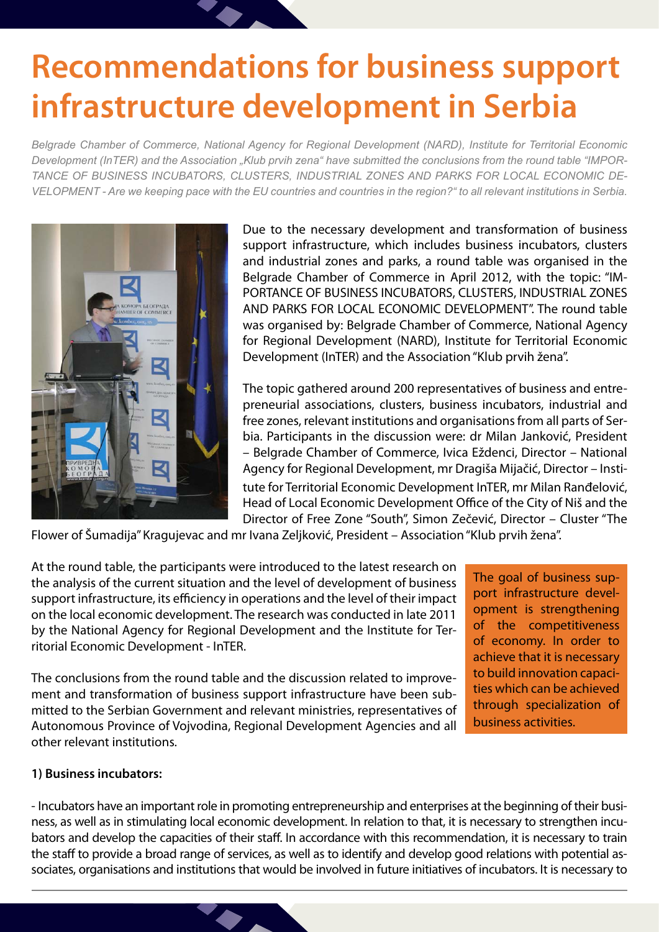# **Recommendations for business support infrastructure development in Serbia**

*Belgrade Chamber of Commerce, National Agency for Regional Development (NARD), Institute for Territorial Economic Development (InTER) and the Association "Klub prvih zena" have submitted the conclusions from the round table "IMPOR-TANCE OF BUSINESS INCUBATORS, CLUSTERS, INDUSTRIAL ZONES AND PARKS FOR LOCAL ECONOMIC DE-VELOPMENT - Are we keeping pace with the EU countries and countries in the region?" to all relevant institutions in Serbia.*



Due to the necessary development and transformation of business support infrastructure, which includes business incubators, clusters and industrial zones and parks, a round table was organised in the Belgrade Chamber of Commerce in April 2012, with the topic: "IM-PORTANCE OF BUSINESS INCUBATORS, CLUSTERS, INDUSTRIAL ZONES AND PARKS FOR LOCAL ECONOMIC DEVELOPMENT". The round table was organised by: Belgrade Chamber of Commerce, National Agency for Regional Development (NARD), Institute for Territorial Economic Development (InTER) and the Association "Klub prvih žena".

tute for Territorial Economic Development InTER, mr Milan Ranđelović, Head of Local Economic Development Office of the City of Niš and the Director of Free Zone "South", Simon Zečević, Director – Cluster "The The topic gathered around 200 representatives of business and entrepreneurial associations, clusters, business incubators, industrial and free zones, relevant institutions and organisations from all parts of Serbia. Participants in the discussion were: dr Milan Janković, President – Belgrade Chamber of Commerce, Ivica Eždenci, Director – National Agency for Regional Development, mr Dragiša Mijačić, Director – Insti-

Flower of Šumadija" Kragujevac and mr Ivana Zeljković, President – Association "Klub prvih žena".

At the round table, the participants were introduced to the latest research on the analysis of the current situation and the level of development of business support infrastructure, its efficiency in operations and the level of their impact on the local economic development. The research was conducted in late 2011 by the National Agency for Regional Development and the Institute for Territorial Economic Development - InTER.

The conclusions from the round table and the discussion related to improvement and transformation of business support infrastructure have been submitted to the Serbian Government and relevant ministries, representatives of Autonomous Province of Vojvodina, Regional Development Agencies and all other relevant institutions.

The goal of business support infrastructure development is strengthening of the competitiveness of economy. In order to achieve that it is necessary to build innovation capacities which can be achieved through specialization of business activities.

#### **1) Business incubators:**

- Incubators have an important role in promoting entrepreneurship and enterprises at the beginning of their business, as well as in stimulating local economic development. In relation to that, it is necessary to strengthen incubators and develop the capacities of their staff. In accordance with this recommendation, it is necessary to train the staff to provide a broad range of services, as well as to identify and develop good relations with potential associates, organisations and institutions that would be involved in future initiatives of incubators. It is necessary to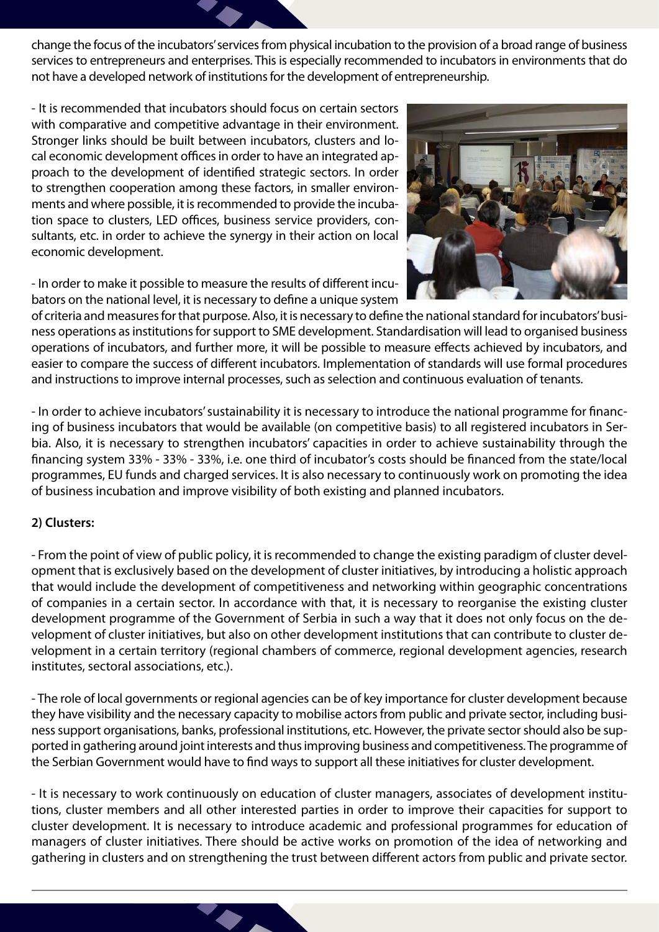change the focus of the incubators' services from physical incubation to the provision of a broad range of business services to entrepreneurs and enterprises. This is especially recommended to incubators in environments that do not have a developed network of institutions for the development of entrepreneurship.

- It is recommended that incubators should focus on certain sectors with comparative and competitive advantage in their environment. Stronger links should be built between incubators, clusters and local economic development offices in order to have an integrated approach to the development of identified strategic sectors. In order to strengthen cooperation among these factors, in smaller environments and where possible, it is recommended to provide the incubation space to clusters, LED offices, business service providers, consultants, etc. in order to achieve the synergy in their action on local economic development.

- In order to make it possible to measure the results of different incubators on the national level, it is necessary to define a unique system



of criteria and measures for that purpose. Also, it is necessary to define the national standard for incubators' business operations as institutions for support to SME development. Standardisation will lead to organised business operations of incubators, and further more, it will be possible to measure effects achieved by incubators, and easier to compare the success of different incubators. Implementation of standards will use formal procedures and instructions to improve internal processes, such as selection and continuous evaluation of tenants.

- In order to achieve incubators' sustainability it is necessary to introduce the national programme for financing of business incubators that would be available (on competitive basis) to all registered incubators in Serbia. Also, it is necessary to strengthen incubators' capacities in order to achieve sustainability through the financing system 33% - 33% - 33%, i.e. one third of incubator's costs should be financed from the state/local programmes, EU funds and charged services. It is also necessary to continuously work on promoting the idea of business incubation and improve visibility of both existing and planned incubators.

#### **2) Clusters:**

- From the point of view of public policy, it is recommended to change the existing paradigm of cluster development that is exclusively based on the development of cluster initiatives, by introducing a holistic approach that would include the development of competitiveness and networking within geographic concentrations of companies in a certain sector. In accordance with that, it is necessary to reorganise the existing cluster development programme of the Government of Serbia in such a way that it does not only focus on the development of cluster initiatives, but also on other development institutions that can contribute to cluster development in a certain territory (regional chambers of commerce, regional development agencies, research institutes, sectoral associations, etc.).

- The role of local governments or regional agencies can be of key importance for cluster development because they have visibility and the necessary capacity to mobilise actors from public and private sector, including business support organisations, banks, professional institutions, etc. However, the private sector should also be supported in gathering around joint interests and thus improving business and competitiveness. The programme of the Serbian Government would have to find ways to support all these initiatives for cluster development.

- It is necessary to work continuously on education of cluster managers, associates of development institutions, cluster members and all other interested parties in order to improve their capacities for support to cluster development. It is necessary to introduce academic and professional programmes for education of managers of cluster initiatives. There should be active works on promotion of the idea of networking and gathering in clusters and on strengthening the trust between different actors from public and private sector.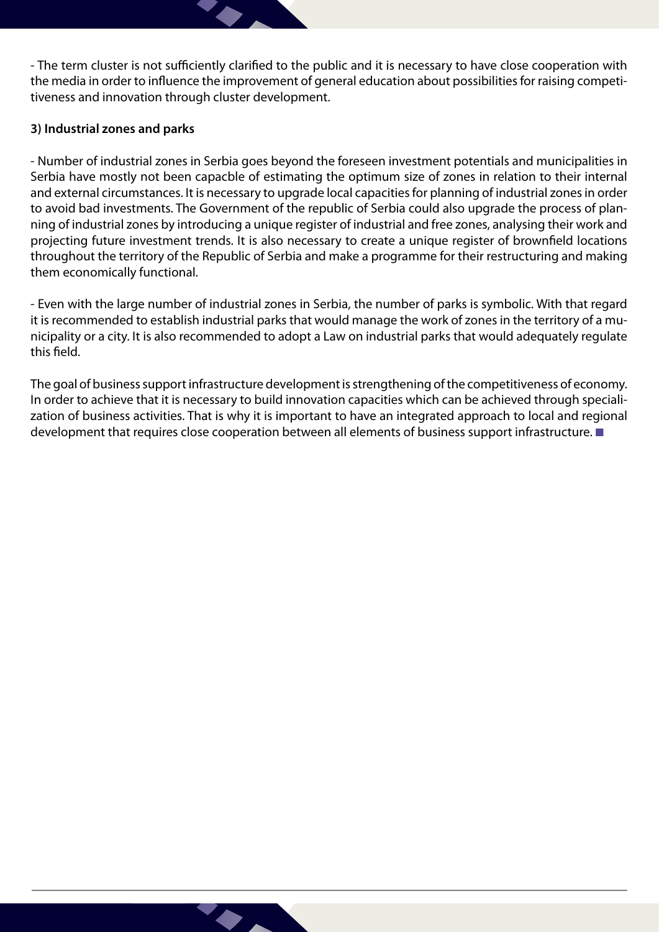- The term cluster is not sufficiently clarified to the public and it is necessary to have close cooperation with the media in order to influence the improvement of general education about possibilities for raising competitiveness and innovation through cluster development.

#### **3) Industrial zones and parks**

- Number of industrial zones in Serbia goes beyond the foreseen investment potentials and municipalities in Serbia have mostly not been capacble of estimating the optimum size of zones in relation to their internal and external circumstances. It is necessary to upgrade local capacities for planning of industrial zones in order to avoid bad investments. The Government of the republic of Serbia could also upgrade the process of planning of industrial zones by introducing a unique register of industrial and free zones, analysing their work and projecting future investment trends. It is also necessary to create a unique register of brownfield locations throughout the territory of the Republic of Serbia and make a programme for their restructuring and making them economically functional.

- Even with the large number of industrial zones in Serbia, the number of parks is symbolic. With that regard it is recommended to establish industrial parks that would manage the work of zones in the territory of a municipality or a city. It is also recommended to adopt a Law on industrial parks that would adequately regulate this field.

The goal of business support infrastructure development is strengthening of the competitiveness of economy. In order to achieve that it is necessary to build innovation capacities which can be achieved through specialization of business activities. That is why it is important to have an integrated approach to local and regional development that requires close cooperation between all elements of business support infrastructure.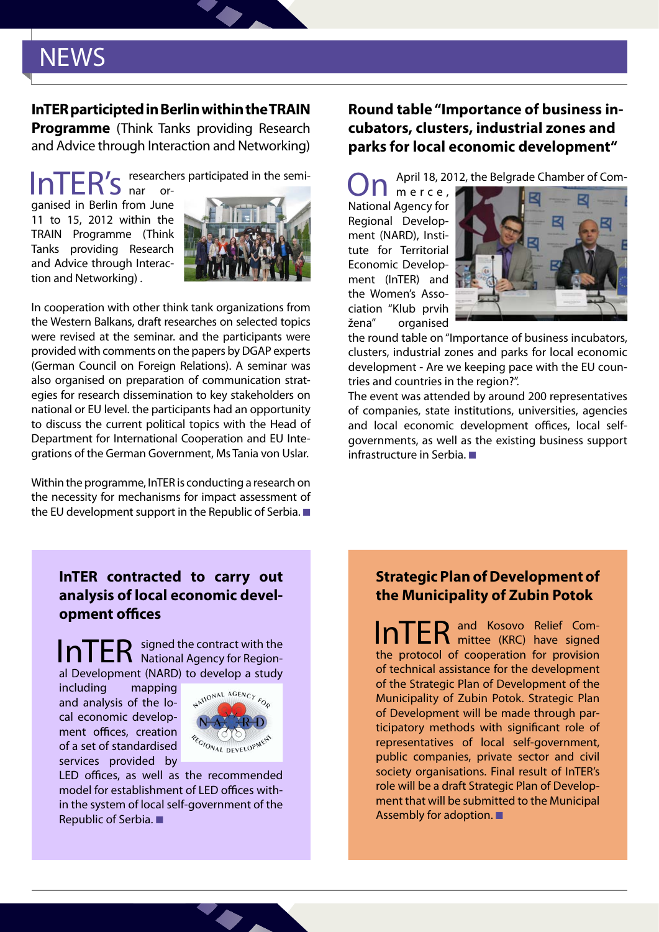### **NEWS**

#### **InTER participted in Berlin within the TRAIN**

**Programme** (Think Tanks providing Research and Advice through Interaction and Networking)

InTER's researchers participated in the semi-

ganised in Berlin from June 11 to 15, 2012 within the TRAIN Programme (Think Tanks providing Research and Advice through Interaction and Networking) .



In cooperation with other think tank organizations from the Western Balkans, draft researches on selected topics were revised at the seminar. and the participants were provided with comments on the papers by DGAP experts (German Council on Foreign Relations). A seminar was also organised on preparation of communication strategies for research dissemination to key stakeholders on national or EU level. the participants had an opportunity to discuss the current political topics with the Head of Department for International Cooperation and EU Integrations of the German Government, Ms Tania von Uslar.

Within the programme, InTER is conducting a research on the necessity for mechanisms for impact assessment of the EU development support in the Republic of Serbia.  $\blacksquare$ 

#### **Round table "Importance of business incubators, clusters, industrial zones and parks for local economic development"**

April 18, 2012, the Belgrade Chamber of Com-

m e r c e , National Agency for Regional Development (NARD), Institute for Territorial Economic Development (InTER) and the Women's Association "Klub prvih žena" organised



the round table on "Importance of business incubators, clusters, industrial zones and parks for local economic development - Are we keeping pace with the EU countries and countries in the region?".

The event was attended by around 200 representatives of companies, state institutions, universities, agencies and local economic development offices, local selfgovernments, as well as the existing business support infrastructure in Serbia.  $\blacksquare$ 

#### **InTER contracted to carry out analysis of local economic development offices**

InTER signed the contract with the al Development (NARD) to develop a study

including mapping and analysis of the local economic development offices, creation of a set of standardised services provided by



LED offices, as well as the recommended model for establishment of LED offices within the system of local self-government of the Republic of Serbia.

#### **Strategic Plan of Development of the Municipality of Zubin Potok**

InTER and Kosovo Relief Comthe protocol of cooperation for provision of technical assistance for the development of the Strategic Plan of Development of the Municipality of Zubin Potok. Strategic Plan of Development will be made through participatory methods with significant role of representatives of local self-government, public companies, private sector and civil society organisations. Final result of InTER's role will be a draft Strategic Plan of Development that will be submitted to the Municipal Assembly for adoption.  $\blacksquare$